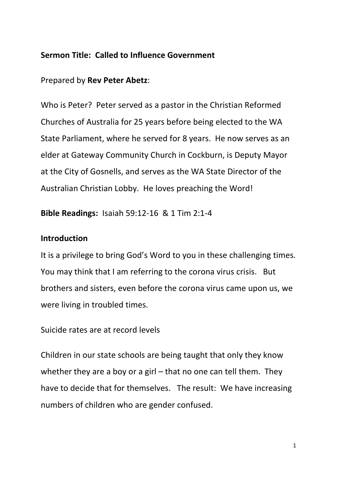#### **Sermon Title: Called to Influence Government**

#### Prepared by **Rev Peter Abetz**:

Who is Peter? Peter served as a pastor in the Christian Reformed Churches of Australia for 25 years before being elected to the WA State Parliament, where he served for 8 years. He now serves as an elder at Gateway Community Church in Cockburn, is Deputy Mayor at the City of Gosnells, and serves as the WA State Director of the Australian Christian Lobby. He loves preaching the Word!

**Bible Readings:** Isaiah 59:12-16 & 1 Tim 2:1-4

#### **Introduction**

It is a privilege to bring God's Word to you in these challenging times. You may think that I am referring to the corona virus crisis. But brothers and sisters, even before the corona virus came upon us, we were living in troubled times.

Suicide rates are at record levels

Children in our state schools are being taught that only they know whether they are a boy or a girl – that no one can tell them. They have to decide that for themselves. The result: We have increasing numbers of children who are gender confused.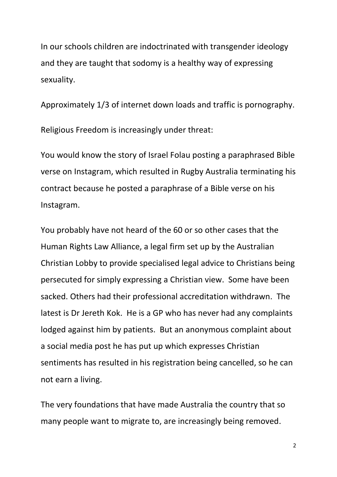In our schools children are indoctrinated with transgender ideology and they are taught that sodomy is a healthy way of expressing sexuality.

Approximately 1/3 of internet down loads and traffic is pornography. Religious Freedom is increasingly under threat:

You would know the story of Israel Folau posting a paraphrased Bible verse on Instagram, which resulted in Rugby Australia terminating his contract because he posted a paraphrase of a Bible verse on his Instagram.

You probably have not heard of the 60 or so other cases that the Human Rights Law Alliance, a legal firm set up by the Australian Christian Lobby to provide specialised legal advice to Christians being persecuted for simply expressing a Christian view. Some have been sacked. Others had their professional accreditation withdrawn. The latest is Dr Jereth Kok. He is a GP who has never had any complaints lodged against him by patients. But an anonymous complaint about a social media post he has put up which expresses Christian sentiments has resulted in his registration being cancelled, so he can not earn a living.

The very foundations that have made Australia the country that so many people want to migrate to, are increasingly being removed.

2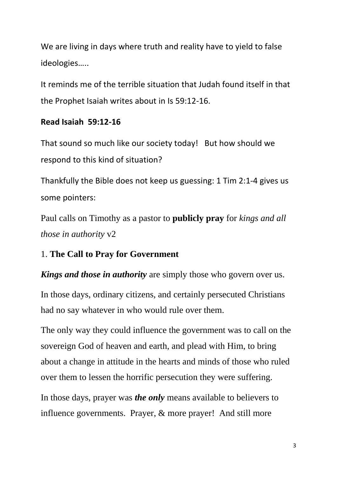We are living in days where truth and reality have to yield to false ideologies…..

It reminds me of the terrible situation that Judah found itself in that the Prophet Isaiah writes about in Is 59:12-16.

## **Read Isaiah 59:12-16**

That sound so much like our society today! But how should we respond to this kind of situation?

Thankfully the Bible does not keep us guessing: 1 Tim 2:1-4 gives us some pointers:

Paul calls on Timothy as a pastor to **publicly pray** for *kings and all those in authority* v2

# 1. **The Call to Pray for Government**

*Kings and those in authority* are simply those who govern over us.

In those days, ordinary citizens, and certainly persecuted Christians had no say whatever in who would rule over them.

The only way they could influence the government was to call on the sovereign God of heaven and earth, and plead with Him, to bring about a change in attitude in the hearts and minds of those who ruled over them to lessen the horrific persecution they were suffering.

In those days, prayer was *the only* means available to believers to influence governments. Prayer, & more prayer! And still more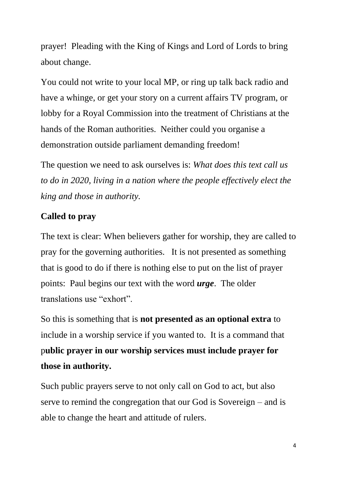prayer! Pleading with the King of Kings and Lord of Lords to bring about change.

You could not write to your local MP, or ring up talk back radio and have a whinge, or get your story on a current affairs TV program, or lobby for a Royal Commission into the treatment of Christians at the hands of the Roman authorities. Neither could you organise a demonstration outside parliament demanding freedom!

The question we need to ask ourselves is: *What does this text call us to do in 2020, living in a nation where the people effectively elect the king and those in authority.* 

# **Called to pray**

The text is clear: When believers gather for worship, they are called to pray for the governing authorities. It is not presented as something that is good to do if there is nothing else to put on the list of prayer points: Paul begins our text with the word *urge*. The older translations use "exhort".

So this is something that is **not presented as an optional extra** to include in a worship service if you wanted to. It is a command that p**ublic prayer in our worship services must include prayer for those in authority.**

Such public prayers serve to not only call on God to act, but also serve to remind the congregation that our God is Sovereign – and is able to change the heart and attitude of rulers.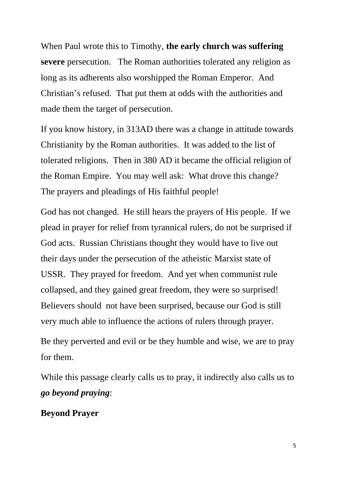When Paul wrote this to Timothy, **the early church was suffering severe** persecution. The Roman authorities tolerated any religion as long as its adherents also worshipped the Roman Emperor. And Christian's refused. That put them at odds with the authorities and made them the target of persecution.

If you know history, in 313AD there was a change in attitude towards Christianity by the Roman authorities. It was added to the list of tolerated religions. Then in 380 AD it became the official religion of the Roman Empire. You may well ask: What drove this change? The prayers and pleadings of His faithful people!

God has not changed. He still hears the prayers of His people. If we plead in prayer for relief from tyrannical rulers, do not be surprised if God acts. Russian Christians thought they would have to live out their days under the persecution of the atheistic Marxist state of USSR. They prayed for freedom. And yet when communist rule collapsed, and they gained great freedom, they were so surprised! Believers should not have been surprised, because our God is still very much able to influence the actions of rulers through prayer.

Be they perverted and evil or be they humble and wise, we are to pray for them.

While this passage clearly calls us to pray, it indirectly also calls us to *go beyond praying*:

## **Beyond Prayer**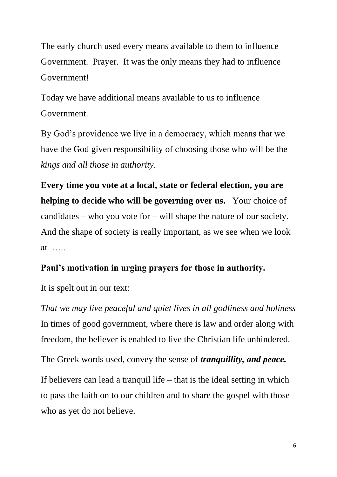The early church used every means available to them to influence Government. Prayer. It was the only means they had to influence Government!

Today we have additional means available to us to influence Government.

By God's providence we live in a democracy, which means that we have the God given responsibility of choosing those who will be the *kings and all those in authority.* 

**Every time you vote at a local, state or federal election, you are helping to decide who will be governing over us.** Your choice of candidates – who you vote for – will shape the nature of our society. And the shape of society is really important, as we see when we look at …..

# **Paul's motivation in urging prayers for those in authority.**

It is spelt out in our text:

*That we may live peaceful and quiet lives in all godliness and holiness* In times of good government, where there is law and order along with freedom, the believer is enabled to live the Christian life unhindered.

The Greek words used, convey the sense of *tranquillity, and peace.*

If believers can lead a tranquil life – that is the ideal setting in which to pass the faith on to our children and to share the gospel with those who as yet do not believe.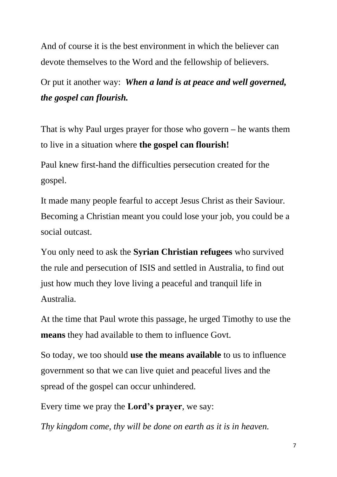And of course it is the best environment in which the believer can devote themselves to the Word and the fellowship of believers.

Or put it another way: *When a land is at peace and well governed, the gospel can flourish.*

That is why Paul urges prayer for those who govern **–** he wants them to live in a situation where **the gospel can flourish!**

Paul knew first-hand the difficulties persecution created for the gospel.

It made many people fearful to accept Jesus Christ as their Saviour. Becoming a Christian meant you could lose your job, you could be a social outcast.

You only need to ask the **Syrian Christian refugees** who survived the rule and persecution of ISIS and settled in Australia, to find out just how much they love living a peaceful and tranquil life in Australia.

At the time that Paul wrote this passage, he urged Timothy to use the **means** they had available to them to influence Govt.

So today, we too should **use the means available** to us to influence government so that we can live quiet and peaceful lives and the spread of the gospel can occur unhindered.

Every time we pray the **Lord's prayer**, we say:

*Thy kingdom come, thy will be done on earth as it is in heaven.*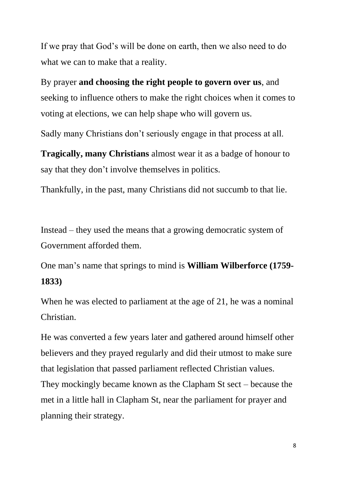If we pray that God's will be done on earth, then we also need to do what we can to make that a reality.

By prayer **and choosing the right people to govern over us**, and seeking to influence others to make the right choices when it comes to voting at elections, we can help shape who will govern us.

Sadly many Christians don't seriously engage in that process at all.

**Tragically, many Christians** almost wear it as a badge of honour to say that they don't involve themselves in politics.

Thankfully, in the past, many Christians did not succumb to that lie.

Instead – they used the means that a growing democratic system of Government afforded them.

One man's name that springs to mind is **William Wilberforce (1759- 1833)**

When he was elected to parliament at the age of 21, he was a nominal Christian.

He was converted a few years later and gathered around himself other believers and they prayed regularly and did their utmost to make sure that legislation that passed parliament reflected Christian values. They mockingly became known as the Clapham St sect – because the met in a little hall in Clapham St, near the parliament for prayer and planning their strategy.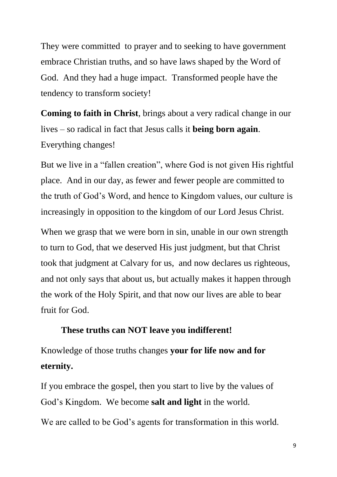They were committed to prayer and to seeking to have government embrace Christian truths, and so have laws shaped by the Word of God. And they had a huge impact. Transformed people have the tendency to transform society!

**Coming to faith in Christ**, brings about a very radical change in our lives – so radical in fact that Jesus calls it **being born again**. Everything changes!

But we live in a "fallen creation", where God is not given His rightful place. And in our day, as fewer and fewer people are committed to the truth of God's Word, and hence to Kingdom values, our culture is increasingly in opposition to the kingdom of our Lord Jesus Christ.

When we grasp that we were born in sin, unable in our own strength to turn to God, that we deserved His just judgment, but that Christ took that judgment at Calvary for us, and now declares us righteous, and not only says that about us, but actually makes it happen through the work of the Holy Spirit, and that now our lives are able to bear fruit for God.

#### **These truths can NOT leave you indifferent!**

Knowledge of those truths changes **your for life now and for eternity.**

If you embrace the gospel, then you start to live by the values of God's Kingdom. We become **salt and light** in the world.

We are called to be God's agents for transformation in this world.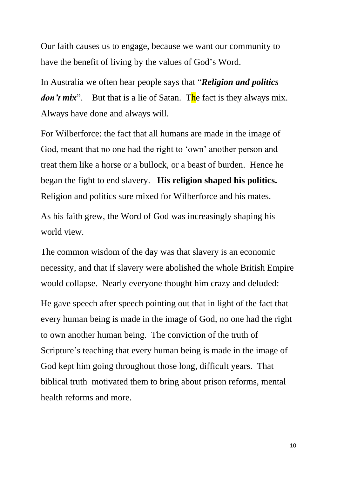Our faith causes us to engage, because we want our community to have the benefit of living by the values of God's Word.

In Australia we often hear people says that "*Religion and politics don't mix*". But that is a lie of Satan. The fact is they always mix. Always have done and always will.

For Wilberforce: the fact that all humans are made in the image of God, meant that no one had the right to 'own' another person and treat them like a horse or a bullock, or a beast of burden. Hence he began the fight to end slavery. **His religion shaped his politics.** Religion and politics sure mixed for Wilberforce and his mates.

As his faith grew, the Word of God was increasingly shaping his world view.

The common wisdom of the day was that slavery is an economic necessity, and that if slavery were abolished the whole British Empire would collapse. Nearly everyone thought him crazy and deluded: He gave speech after speech pointing out that in light of the fact that every human being is made in the image of God, no one had the right to own another human being. The conviction of the truth of Scripture's teaching that every human being is made in the image of God kept him going throughout those long, difficult years. That biblical truth motivated them to bring about prison reforms, mental health reforms and more.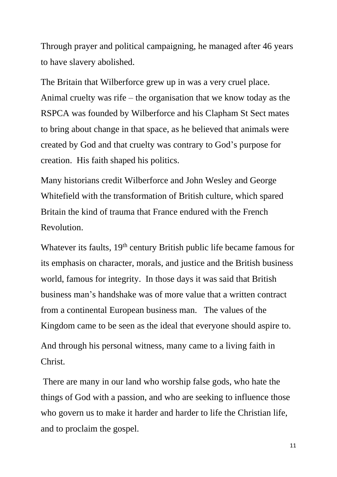Through prayer and political campaigning, he managed after 46 years to have slavery abolished.

The Britain that Wilberforce grew up in was a very cruel place. Animal cruelty was rife – the organisation that we know today as the RSPCA was founded by Wilberforce and his Clapham St Sect mates to bring about change in that space, as he believed that animals were created by God and that cruelty was contrary to God's purpose for creation. His faith shaped his politics.

Many historians credit Wilberforce and John Wesley and George Whitefield with the transformation of British culture, which spared Britain the kind of trauma that France endured with the French Revolution.

Whatever its faults, 19<sup>th</sup> century British public life became famous for its emphasis on character, morals, and justice and the British business world, famous for integrity. In those days it was said that British business man's handshake was of more value that a written contract from a continental European business man. The values of the Kingdom came to be seen as the ideal that everyone should aspire to. And through his personal witness, many came to a living faith in Christ.

There are many in our land who worship false gods, who hate the things of God with a passion, and who are seeking to influence those who govern us to make it harder and harder to life the Christian life, and to proclaim the gospel.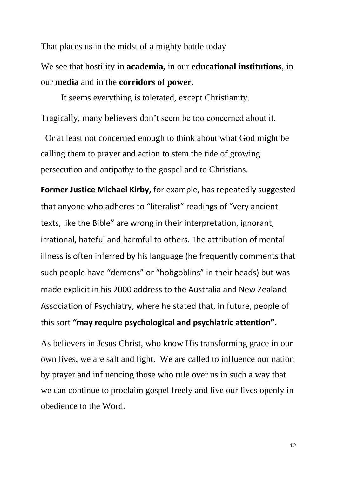That places us in the midst of a mighty battle today

We see that hostility in **academia,** in our **educational institutions**, in our **media** and in the **corridors of power**.

It seems everything is tolerated, except Christianity. Tragically, many believers don't seem be too concerned about it.

 Or at least not concerned enough to think about what God might be calling them to prayer and action to stem the tide of growing persecution and antipathy to the gospel and to Christians.

**Former Justice Michael Kirby,** for example, has repeatedly suggested that anyone who adheres to "literalist" readings of "very ancient texts, like the Bible" are wrong in their interpretation, ignorant, irrational, hateful and harmful to others. The attribution of mental illness is often inferred by his language (he frequently comments that such people have "demons" or "hobgoblins" in their heads) but was made explicit in his 2000 address to the Australia and New Zealand Association of Psychiatry, where he stated that, in future, people of this sort **"may require psychological and psychiatric attention".**

As believers in Jesus Christ, who know His transforming grace in our own lives, we are salt and light. We are called to influence our nation by prayer and influencing those who rule over us in such a way that we can continue to proclaim gospel freely and live our lives openly in obedience to the Word.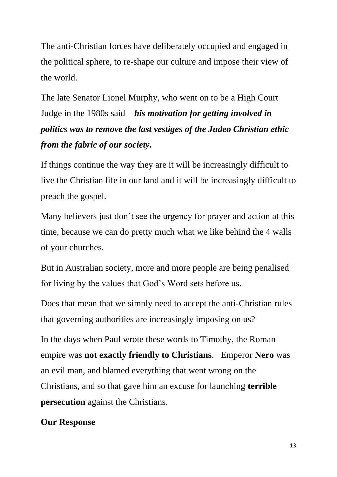The anti-Christian forces have deliberately occupied and engaged in the political sphere, to re-shape our culture and impose their view of the world.

The late Senator Lionel Murphy, who went on to be a High Court Judge in the 1980s said *his motivation for getting involved in politics was to remove the last vestiges of the Judeo Christian ethic from the fabric of our society.*

If things continue the way they are it will be increasingly difficult to live the Christian life in our land and it will be increasingly difficult to preach the gospel.

Many believers just don't see the urgency for prayer and action at this time, because we can do pretty much what we like behind the 4 walls of your churches.

But in Australian society, more and more people are being penalised for living by the values that God's Word sets before us.

Does that mean that we simply need to accept the anti-Christian rules that governing authorities are increasingly imposing on us?

In the days when Paul wrote these words to Timothy, the Roman empire was **not exactly friendly to Christians**. Emperor **Nero** was an evil man, and blamed everything that went wrong on the Christians, and so that gave him an excuse for launching **terrible persecution** against the Christians.

## **Our Response**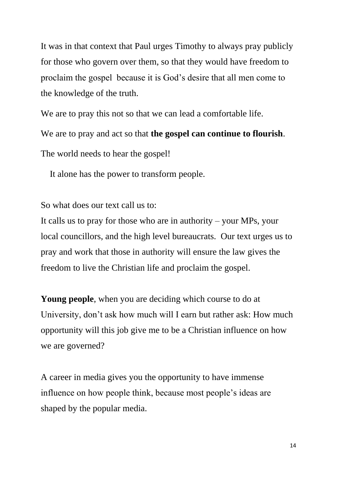It was in that context that Paul urges Timothy to always pray publicly for those who govern over them, so that they would have freedom to proclaim the gospel because it is God's desire that all men come to the knowledge of the truth.

We are to pray this not so that we can lead a comfortable life.

We are to pray and act so that **the gospel can continue to flourish**.

The world needs to hear the gospel!

It alone has the power to transform people.

So what does our text call us to:

It calls us to pray for those who are in authority – your MPs, your local councillors, and the high level bureaucrats. Our text urges us to pray and work that those in authority will ensure the law gives the freedom to live the Christian life and proclaim the gospel.

**Young people**, when you are deciding which course to do at University, don't ask how much will I earn but rather ask: How much opportunity will this job give me to be a Christian influence on how we are governed?

A career in media gives you the opportunity to have immense influence on how people think, because most people's ideas are shaped by the popular media.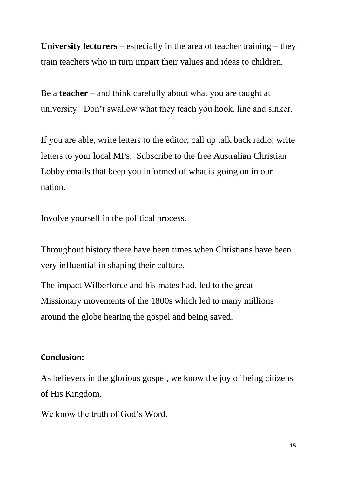**University lecturers** – especially in the area of teacher training – they train teachers who in turn impart their values and ideas to children.

Be a **teacher** – and think carefully about what you are taught at university. Don't swallow what they teach you hook, line and sinker.

If you are able, write letters to the editor, call up talk back radio, write letters to your local MPs. Subscribe to the free Australian Christian Lobby emails that keep you informed of what is going on in our nation.

Involve yourself in the political process.

Throughout history there have been times when Christians have been very influential in shaping their culture.

The impact Wilberforce and his mates had, led to the great Missionary movements of the 1800s which led to many millions around the globe hearing the gospel and being saved.

## **Conclusion:**

As believers in the glorious gospel, we know the joy of being citizens of His Kingdom.

We know the truth of God's Word.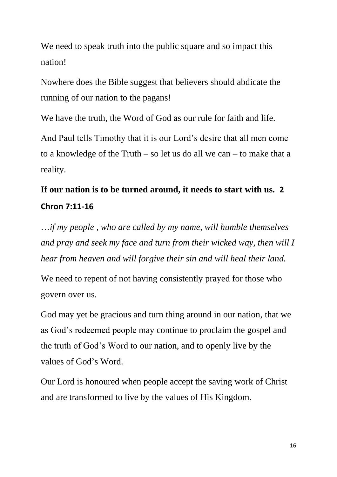We need to speak truth into the public square and so impact this nation!

Nowhere does the Bible suggest that believers should abdicate the running of our nation to the pagans!

We have the truth, the Word of God as our rule for faith and life.

And Paul tells Timothy that it is our Lord's desire that all men come to a knowledge of the Truth – so let us do all we can – to make that a reality.

# **If our nation is to be turned around, it needs to start with us. 2 Chron 7:11-16**

…*if my people , who are called by my name, will humble themselves and pray and seek my face and turn from their wicked way, then will I hear from heaven and will forgive their sin and will heal their land.*

We need to repent of not having consistently prayed for those who govern over us.

God may yet be gracious and turn thing around in our nation, that we as God's redeemed people may continue to proclaim the gospel and the truth of God's Word to our nation, and to openly live by the values of God's Word.

Our Lord is honoured when people accept the saving work of Christ and are transformed to live by the values of His Kingdom.